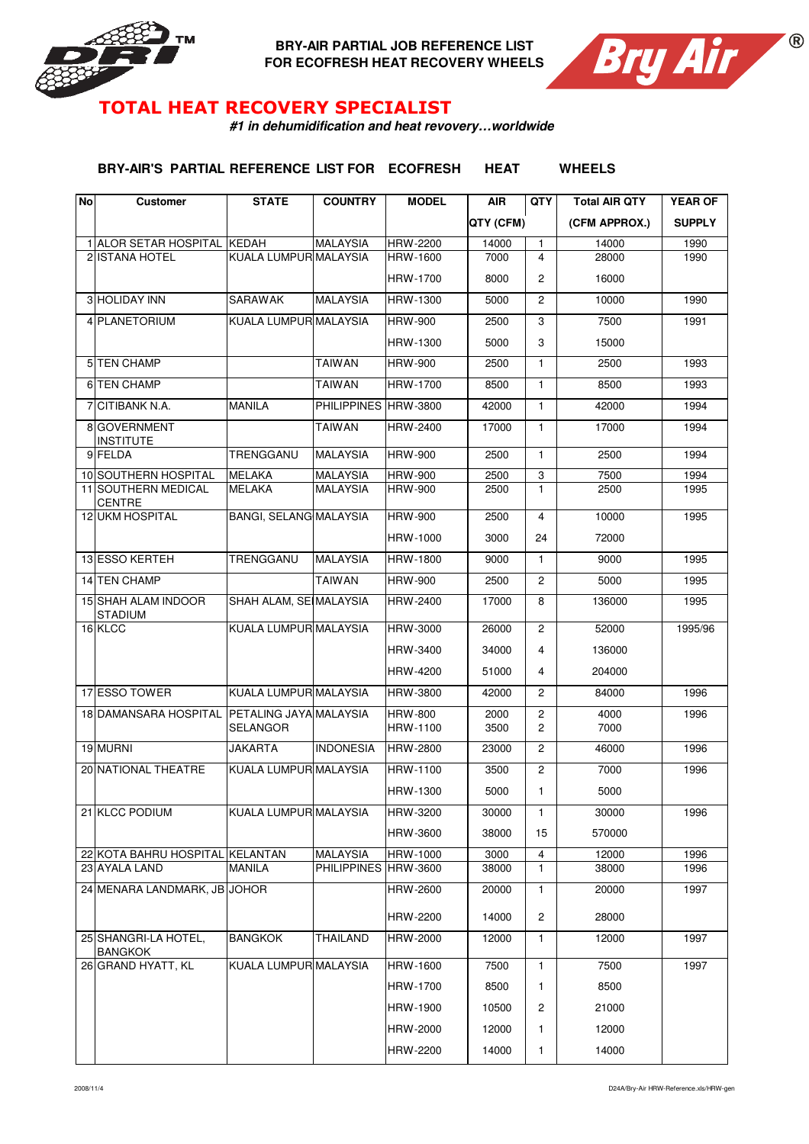

**BRY-AIR PARTIAL JOB REFERENCE LIST FOR ECOFRESH HEAT RECOVERY WHEELS**



## TOTAL HEAT RECOVERY SPECIALIST

**#1 in dehumidification and heat revovery…worldwide**

**BRY-AIR'S PARTIAL REFERENCE LIST FOR ECOFRESH HEAT WHEELS**

| <b>No</b> | <b>Customer</b>                        | <b>STATE</b>                       | <b>COUNTRY</b>       | <b>MODEL</b>               | <b>AIR</b>   | <b>QTY</b>                       | <b>Total AIR QTY</b> | <b>YEAR OF</b> |
|-----------|----------------------------------------|------------------------------------|----------------------|----------------------------|--------------|----------------------------------|----------------------|----------------|
|           |                                        |                                    |                      |                            | QTY (CFM)    |                                  | (CFM APPROX.)        | <b>SUPPLY</b>  |
|           | 1 ALOR SETAR HOSPITAL KEDAH            |                                    | <b>MALAYSIA</b>      | HRW-2200                   | 14000        | 1                                | 14000                | 1990           |
|           | 2 ISTANA HOTEL                         | KUALA LUMPUR MALAYSIA              |                      | HRW-1600                   | 7000         | $\overline{4}$                   | 28000                | 1990           |
|           |                                        |                                    |                      | HRW-1700                   | 8000         | $\overline{c}$                   | 16000                |                |
|           | 3 HOLIDAY INN                          | <b>SARAWAK</b>                     | <b>MALAYSIA</b>      | HRW-1300                   | 5000         | $\overline{c}$                   | 10000                | 1990           |
|           | 4 PLANETORIUM                          | KUALA LUMPUR MALAYSIA              |                      | <b>HRW-900</b>             | 2500         | 3                                | 7500                 | 1991           |
|           |                                        |                                    |                      | HRW-1300                   | 5000         | 3                                | 15000                |                |
|           | 5 TEN CHAMP                            |                                    | <b>TAIWAN</b>        | <b>HRW-900</b>             | 2500         | 1                                | 2500                 | 1993           |
|           | 6 TEN CHAMP                            |                                    | <b>TAIWAN</b>        | HRW-1700                   | 8500         | $\mathbf{1}$                     | 8500                 | 1993           |
|           | 7 CITIBANK N.A.                        | <b>MANILA</b>                      | PHILIPPINES HRW-3800 |                            | 42000        | 1                                | 42000                | 1994           |
|           | 8 GOVERNMENT<br><b>INSTITUTE</b>       |                                    | <b>TAIWAN</b>        | HRW-2400                   | 17000        | $\mathbf{1}$                     | 17000                | 1994           |
|           | 9 FELDA                                | TRENGGANU                          | <b>MALAYSIA</b>      | <b>HRW-900</b>             | 2500         | $\mathbf{1}$                     | 2500                 | 1994           |
|           | 10 SOUTHERN HOSPITAL                   | <b>MELAKA</b>                      | <b>MALAYSIA</b>      | <b>HRW-900</b>             | 2500         | 3                                | 7500                 | 1994           |
|           | 11 SOUTHERN MEDICAL<br>CENTRE          | <b>MELAKA</b>                      | <b>MALAYSIA</b>      | <b>HRW-900</b>             | 2500         | $\mathbf{1}$                     | 2500                 | 1995           |
|           | <b>12 UKM HOSPITAL</b>                 | <b>BANGI, SELANG MALAYSIA</b>      |                      | <b>HRW-900</b>             | 2500         | 4                                | 10000                | 1995           |
|           |                                        |                                    |                      | HRW-1000                   | 3000         | 24                               | 72000                |                |
|           | 13 ESSO KERTEH                         | TRENGGANU                          | <b>MALAYSIA</b>      | <b>HRW-1800</b>            | 9000         | $\mathbf{1}$                     | 9000                 | 1995           |
|           | 14 TEN CHAMP                           |                                    | <b>TAIWAN</b>        | <b>HRW-900</b>             | 2500         | $\overline{c}$                   | 5000                 | 1995           |
|           | 15 SHAH ALAM INDOOR<br><b>STADIUM</b>  | SHAH ALAM, SE MALAYSIA             |                      | HRW-2400                   | 17000        | 8                                | 136000               | 1995           |
|           | 16 KLCC                                | KUALA LUMPUR MALAYSIA              |                      | HRW-3000                   | 26000        | $\overline{c}$                   | 52000                | 1995/96        |
|           |                                        |                                    |                      | HRW-3400                   | 34000        | 4                                | 136000               |                |
|           |                                        |                                    |                      | HRW-4200                   | 51000        | 4                                | 204000               |                |
|           | 17 ESSO TOWER                          | KUALA LUMPUR MALAYSIA              |                      | HRW-3800                   | 42000        | $\overline{c}$                   | 84000                | 1996           |
|           | 18 DAMANSARA HOSPITAL                  | PETALING JAYA MALAYSIA<br>SELANGOR |                      | <b>HRW-800</b><br>HRW-1100 | 2000<br>3500 | $\overline{c}$<br>$\overline{c}$ | 4000<br>7000         | 1996           |
|           | 19 MURNI                               | <b>JAKARTA</b>                     | <b>INDONESIA</b>     | <b>HRW-2800</b>            | 23000        | 2                                | 46000                | 1996           |
|           | 20 NATIONAL THEATRE                    | KUALA LUMPUR MALAYSIA              |                      | HRW-1100                   | 3500         | $\overline{c}$                   | 7000                 | 1996           |
|           |                                        |                                    |                      | HRW-1300                   | 5000         | 1                                | 5000                 |                |
|           | 21 KLCC PODIUM                         | KUALA LUMPUR MALAYSIA              |                      | HRW-3200                   | 30000        | 1                                | 30000                | 1996           |
|           |                                        |                                    |                      | HRW-3600                   | 38000        | 15                               | 570000               |                |
|           | 22 KOTA BAHRU HOSPITAL KELANTAN        |                                    | <b>MALAYSIA</b>      | HRW-1000                   | 3000         | 4                                | 12000                | 1996           |
|           | 23 AYALA LAND                          | <b>MANILA</b>                      | PHILIPPINES HRW-3600 |                            | 38000        | $\mathbf{1}$                     | 38000                | 1996           |
|           | 24 MENARA LANDMARK, JB JOHOR           |                                    |                      | HRW-2600                   | 20000        | 1                                | 20000                | 1997           |
|           |                                        |                                    |                      | HRW-2200                   | 14000        | 2                                | 28000                |                |
|           | 25 SHANGRI-LA HOTEL,<br><b>BANGKOK</b> | <b>BANGKOK</b>                     | THAILAND             | <b>HRW-2000</b>            | 12000        | 1                                | 12000                | 1997           |
|           | 26 GRAND HYATT, KL                     | KUALA LUMPUR MALAYSIA              |                      | HRW-1600                   | 7500         | $\mathbf{1}$                     | 7500                 | 1997           |
|           |                                        |                                    |                      | HRW-1700                   | 8500         | 1                                | 8500                 |                |
|           |                                        |                                    |                      | HRW-1900                   | 10500        | 2                                | 21000                |                |
|           |                                        |                                    |                      | HRW-2000                   | 12000        | 1                                | 12000                |                |
|           |                                        |                                    |                      | HRW-2200                   | 14000        | 1                                | 14000                |                |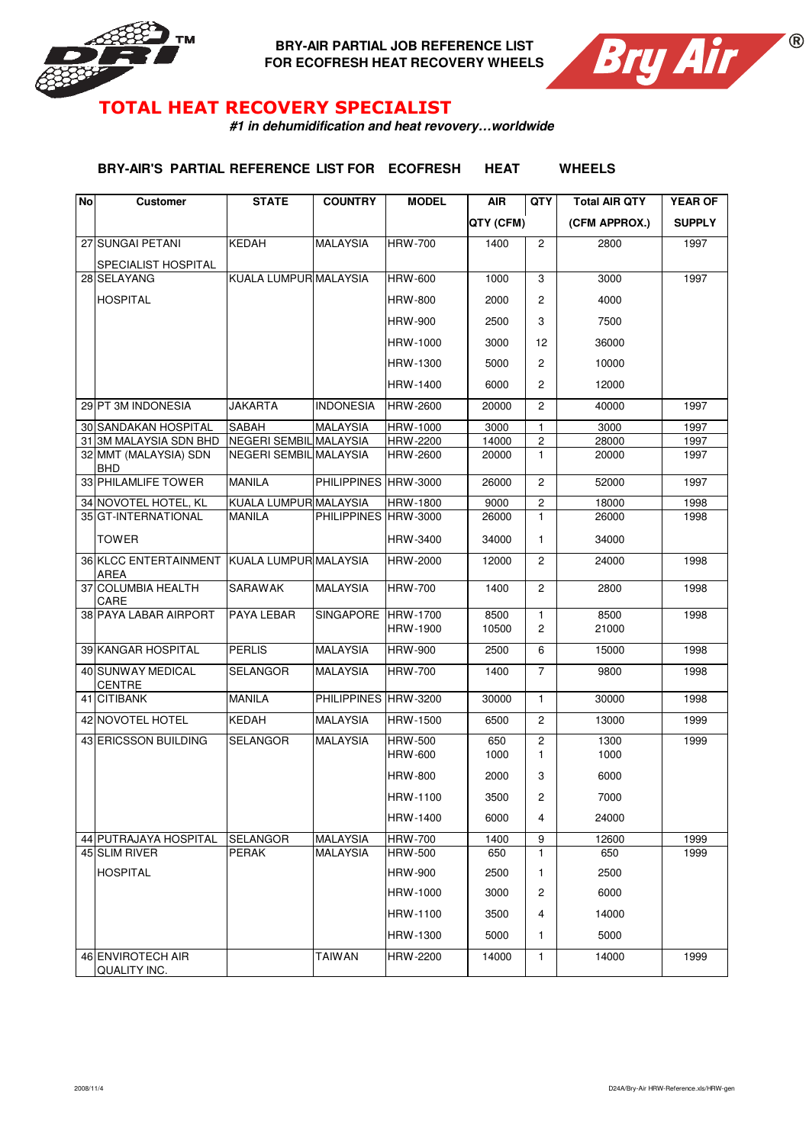

**BRY-AIR PARTIAL JOB REFERENCE LIST FOR ECOFRESH HEAT RECOVERY WHEELS**



## TOTAL HEAT RECOVERY SPECIALIST

**#1 in dehumidification and heat revovery…worldwide**

**BRY-AIR'S PARTIAL REFERENCE LIST FOR ECOFRESH HEAT WHEELS**

| No | <b>Customer</b>                      | <b>STATE</b>           | <b>COUNTRY</b>       | <b>MODEL</b>                      | <b>AIR</b>    | QTY                            | <b>Total AIR QTY</b> | <b>YEAR OF</b> |
|----|--------------------------------------|------------------------|----------------------|-----------------------------------|---------------|--------------------------------|----------------------|----------------|
|    |                                      |                        |                      |                                   | QTY (CFM)     |                                | (CFM APPROX.)        | <b>SUPPLY</b>  |
|    | 27 SUNGAI PETANI                     | <b>KEDAH</b>           | <b>MALAYSIA</b>      | <b>HRW-700</b>                    | 1400          | $\overline{c}$                 | 2800                 | 1997           |
|    | SPECIALIST HOSPITAL                  |                        |                      |                                   |               |                                |                      |                |
|    | 28 SELAYANG                          | KUALA LUMPUR MALAYSIA  |                      | <b>HRW-600</b>                    | 1000          | 3                              | 3000                 | 1997           |
|    | <b>HOSPITAL</b>                      |                        |                      | <b>HRW-800</b>                    | 2000          | 2                              | 4000                 |                |
|    |                                      |                        |                      | <b>HRW-900</b>                    | 2500          | 3                              | 7500                 |                |
|    |                                      |                        |                      | HRW-1000                          | 3000          | 12                             | 36000                |                |
|    |                                      |                        |                      | HRW-1300                          | 5000          | $\overline{2}$                 | 10000                |                |
|    |                                      |                        |                      | HRW-1400                          | 6000          | 2                              | 12000                |                |
|    | 29 PT 3M INDONESIA                   | <b>JAKARTA</b>         | <b>INDONESIA</b>     | <b>HRW-2600</b>                   | 20000         | $\overline{2}$                 | 40000                | 1997           |
|    | 30 SANDAKAN HOSPITAL                 | SABAH                  | <b>MALAYSIA</b>      | HRW-1000                          | 3000          | 1                              | 3000                 | 1997           |
|    | 31 3M MALAYSIA SDN BHD               | NEGERI SEMBIL MALAYSIA |                      | HRW-2200                          | 14000         | $\overline{c}$                 | 28000                | 1997           |
|    | 32 MMT (MALAYSIA) SDN<br>BHD         | NEGERI SEMBIL MALAYSIA |                      | HRW-2600                          | 20000         | $\mathbf{1}$                   | 20000                | 1997           |
|    | 33 PHILAMLIFE TOWER                  | <b>MANILA</b>          | PHILIPPINES HRW-3000 |                                   | 26000         | $\overline{c}$                 | 52000                | 1997           |
|    | 34 NOVOTEL HOTEL, KL                 | KUALA LUMPUR MALAYSIA  |                      | HRW-1800                          | 9000          | $\sqrt{2}$                     | 18000                | 1998           |
|    | 35 GT-INTERNATIONAL                  | <b>MANILA</b>          | PHILIPPINES HRW-3000 |                                   | 26000         | $\mathbf{1}$                   | 26000                | 1998           |
|    | TOWER                                |                        |                      | HRW-3400                          | 34000         | 1                              | 34000                |                |
|    | 36 KLCC ENTERTAINMENT<br><b>AREA</b> | KUALA LUMPUR MALAYSIA  |                      | <b>HRW-2000</b>                   | 12000         | $\overline{c}$                 | 24000                | 1998           |
|    | 37 COLUMBIA HEALTH<br>CARE           | <b>SARAWAK</b>         | <b>MALAYSIA</b>      | <b>HRW-700</b>                    | 1400          | $\overline{c}$                 | 2800                 | 1998           |
|    | <b>38 PAYA LABAR AIRPORT</b>         | PAYA LEBAR             | <b>SINGAPORE</b>     | <b>HRW-1700</b><br>HRW-1900       | 8500<br>10500 | $\mathbf{1}$<br>2              | 8500<br>21000        | 1998           |
|    |                                      |                        |                      |                                   |               |                                |                      |                |
|    | 39 KANGAR HOSPITAL                   | <b>PERLIS</b>          | <b>MALAYSIA</b>      | <b>HRW-900</b>                    | 2500          | 6                              | 15000                | 1998           |
|    | 40 SUNWAY MEDICAL<br><b>CENTRE</b>   | SELANGOR               | <b>MALAYSIA</b>      | <b>HRW-700</b>                    | 1400          | $\overline{7}$                 | 9800                 | 1998           |
|    | 41 CITIBANK                          | <b>MANILA</b>          | PHILIPPINES HRW-3200 |                                   | 30000         | $\mathbf{1}$                   | 30000                | 1998           |
|    | 42 NOVOTEL HOTEL                     | <b>KEDAH</b>           | <b>MALAYSIA</b>      | HRW-1500                          | 6500          | $\overline{c}$                 | 13000                | 1999           |
|    | 43 ERICSSON BUILDING                 | <b>SELANGOR</b>        | <b>MALAYSIA</b>      | <b>HRW-500</b><br><b>HRW-600</b>  | 650<br>1000   | $\overline{c}$<br>$\mathbf{1}$ | 1300<br>1000         | 1999           |
|    |                                      |                        |                      |                                   |               |                                |                      |                |
|    |                                      |                        |                      | <b>HRW-800</b><br><b>HRW-1100</b> | 2000<br>3500  | 3<br>2                         | 6000<br>7000         |                |
|    |                                      |                        |                      |                                   |               |                                |                      |                |
|    |                                      |                        |                      | HRW-1400                          | 6000          | 4                              | 24000                |                |
|    | 44 PUTRAJAYA HOSPITAL                | <b>SELANGOR</b>        | <b>MALAYSIA</b>      | <b>HRW-700</b>                    | 1400          | 9                              | 12600                | 1999           |
|    | 45 SLIM RIVER                        | <b>PERAK</b>           | <b>MALAYSIA</b>      | <b>HRW-500</b>                    | 650           | $\mathbf{1}$                   | 650                  | 1999           |
|    | <b>HOSPITAL</b>                      |                        |                      | <b>HRW-900</b>                    | 2500          | 1                              | 2500                 |                |
|    |                                      |                        |                      | HRW-1000                          | 3000          | 2                              | 6000                 |                |
|    |                                      |                        |                      | HRW-1100                          | 3500          | 4                              | 14000                |                |
|    |                                      |                        |                      | HRW-1300                          | 5000          | 1                              | 5000                 |                |
|    | 46 ENVIROTECH AIR<br>QUALITY INC.    |                        | <b>TAIWAN</b>        | HRW-2200                          | 14000         | 1                              | 14000                | 1999           |